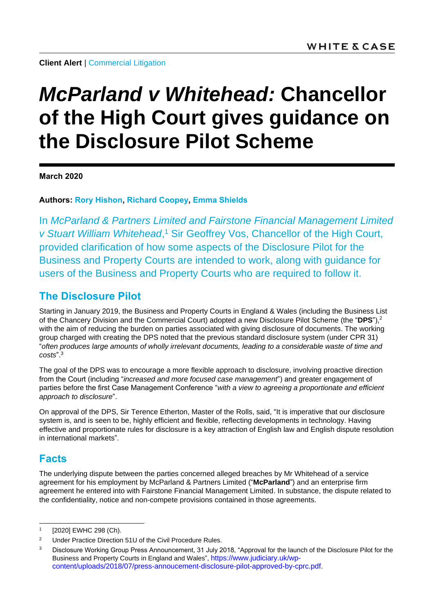**Client Alert | [Commercial Litigation](https://www.whitecase.com/law/practices/commercial-litigation)** 

# *McParland v Whitehead:* **Chancellor of the High Court gives guidance on the Disclosure Pilot Scheme**

**March 2020**

**Authors: [Rory Hishon,](https://www.whitecase.com/people/rory-hishon) [Richard Coopey,](https://www.whitecase.com/people/richard-coopey) [Emma Shields](mailto:emma.shields@whitecase.com)**

In *McParland & Partners Limited and Fairstone Financial Management Limited v Stuart William Whitehead*, <sup>1</sup> Sir Geoffrey Vos, Chancellor of the High Court, provided clarification of how some aspects of the Disclosure Pilot for the Business and Property Courts are intended to work, along with guidance for users of the Business and Property Courts who are required to follow it.

### **The Disclosure Pilot**

Starting in January 2019, the Business and Property Courts in England & Wales (including the Business List of the Chancery Division and the Commercial Court) adopted a new Disclosure Pilot Scheme (the "**DPS**"), 2 with the aim of reducing the burden on parties associated with giving disclosure of documents. The working group charged with creating the DPS noted that the previous standard disclosure system (under CPR 31) "*often produces large amounts of wholly irrelevant documents, leading to a considerable waste of time and costs*". 3

The goal of the DPS was to encourage a more flexible approach to disclosure, involving proactive direction from the Court (including "*increased and more focused case management*") and greater engagement of parties before the first Case Management Conference "*with a view to agreeing a proportionate and efficient approach to disclosure*".

On approval of the DPS, Sir Terence Etherton, Master of the Rolls, said, "It is imperative that our disclosure system is, and is seen to be, highly efficient and flexible, reflecting developments in technology. Having effective and proportionate rules for disclosure is a key attraction of English law and English dispute resolution in international markets".

## **Facts**

l

The underlying dispute between the parties concerned alleged breaches by Mr Whitehead of a service agreement for his employment by McParland & Partners Limited ("**McParland**") and an enterprise firm agreement he entered into with Fairstone Financial Management Limited. In substance, the dispute related to the confidentiality, notice and non-compete provisions contained in those agreements.

<sup>1</sup> [2020] EWHC 298 (Ch).

<sup>&</sup>lt;sup>2</sup> Under Practice Direction 51U of the Civil Procedure Rules.

<sup>&</sup>lt;sup>3</sup> Disclosure Working Group Press Announcement, 31 July 2018, "Approval for the launch of the Disclosure Pilot for the Business and Property Courts in England and Wales", [https://www.judiciary.uk/wp](https://www.judiciary.uk/wp-content/uploads/2018/07/press-annoucement-disclosure-pilot-approved-by-cprc.pdf)[content/uploads/2018/07/press-annoucement-disclosure-pilot-approved-by-cprc.pdf.](https://www.judiciary.uk/wp-content/uploads/2018/07/press-annoucement-disclosure-pilot-approved-by-cprc.pdf)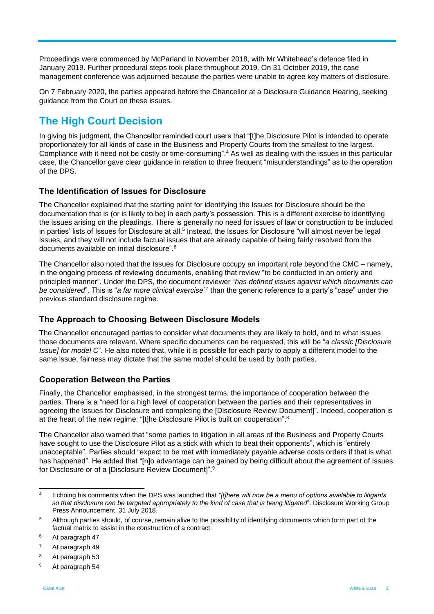Proceedings were commenced by McParland in November 2018, with Mr Whitehead's defence filed in January 2019. Further procedural steps took place throughout 2019. On 31 October 2019, the case management conference was adjourned because the parties were unable to agree key matters of disclosure.

On 7 February 2020, the parties appeared before the Chancellor at a Disclosure Guidance Hearing, seeking guidance from the Court on these issues.

# **The High Court Decision**

In giving his judgment, the Chancellor reminded court users that "[t]he Disclosure Pilot is intended to operate proportionately for all kinds of case in the Business and Property Courts from the smallest to the largest. Compliance with it need not be costly or time-consuming". <sup>4</sup> As well as dealing with the issues in this particular case, the Chancellor gave clear guidance in relation to three frequent "misunderstandings" as to the operation of the DPS.

#### **The Identification of Issues for Disclosure**

The Chancellor explained that the starting point for identifying the Issues for Disclosure should be the documentation that is (or is likely to be) in each party's possession. This is a different exercise to identifying the issues arising on the pleadings. There is generally no need for issues of law or construction to be included in parties' lists of Issues for Disclosure at all.<sup>5</sup> Instead, the Issues for Disclosure "will almost never be legal issues, and they will not include factual issues that are already capable of being fairly resolved from the documents available on initial disclosure". 6

The Chancellor also noted that the Issues for Disclosure occupy an important role beyond the CMC – namely, in the ongoing process of reviewing documents, enabling that review "to be conducted in an orderly and principled manner". Under the DPS, the document reviewer "*has defined issues against which documents can be considered*". This is "*a far more clinical exercise*" 7 than the generic reference to a party's "*case*" under the previous standard disclosure regime.

#### **The Approach to Choosing Between Disclosure Models**

The Chancellor encouraged parties to consider what documents they are likely to hold, and to what issues those documents are relevant. Where specific documents can be requested, this will be "*a classic [Disclosure Issue] for model C*". He also noted that, while it is possible for each party to apply a different model to the same issue, fairness may dictate that the same model should be used by both parties.

#### **Cooperation Between the Parties**

Finally, the Chancellor emphasised, in the strongest terms, the importance of cooperation between the parties. There is a "need for a high level of cooperation between the parties and their representatives in agreeing the Issues for Disclosure and completing the [Disclosure Review Document]". Indeed, cooperation is at the heart of the new regime: "[t]he Disclosure Pilot is built on cooperation".<sup>8</sup>

The Chancellor also warned that "some parties to litigation in all areas of the Business and Property Courts have sought to use the Disclosure Pilot as a stick with which to beat their opponents", which is "entirely unacceptable". Parties should "expect to be met with immediately payable adverse costs orders if that is what has happened". He added that "[n]o advantage can be gained by being difficult about the agreement of Issues for Disclosure or of a [Disclosure Review Document]".<sup>9</sup>

 $\overline{A}$ <sup>4</sup> Echoing his comments when the DPS was launched that *"[t]here will now be a menu of options available to litigants so that disclosure can be targeted appropriately to the kind of case that is being litigated*". Disclosure Working Group Press Announcement, 31 July 2018.

<sup>&</sup>lt;sup>5</sup> Although parties should, of course, remain alive to the possibility of identifying documents which form part of the factual matrix to assist in the construction of a contract.

<sup>6</sup> At paragraph 47

<sup>7</sup> At paragraph 49

<sup>8</sup> At paragraph 53

<sup>9</sup> At paragraph 54